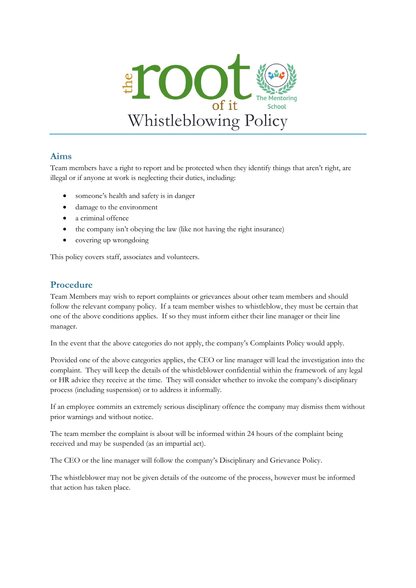

### **Aims**

Team members have a right to report and be protected when they identify things that aren't right, are illegal or if anyone at work is neglecting their duties, including:

- someone's health and safety is in danger
- damage to the environment
- a criminal offence
- $\bullet$  the company isn't obeying the law (like not having the right insurance)
- covering up wrongdoing

This policy covers staff, associates and volunteers.

### **Procedure**

Team Members may wish to report complaints or grievances about other team members and should follow the relevant company policy. If a team member wishes to whistleblow, they must be certain that one of the above conditions applies. If so they must inform either their line manager or their line manager.

In the event that the above categories do not apply, the company's Complaints Policy would apply.

Provided one of the above categories applies, the CEO or line manager will lead the investigation into the complaint. They will keep the details of the whistleblower confidential within the framework of any legal or HR advice they receive at the time. They will consider whether to invoke the company's disciplinary process (including suspension) or to address it informally.

If an employee commits an extremely serious disciplinary offence the company may dismiss them without prior warnings and without notice.

The team member the complaint is about will be informed within 24 hours of the complaint being received and may be suspended (as an impartial act).

The CEO or the line manager will follow the company's Disciplinary and Grievance Policy.

The whistleblower may not be given details of the outcome of the process, however must be informed that action has taken place.